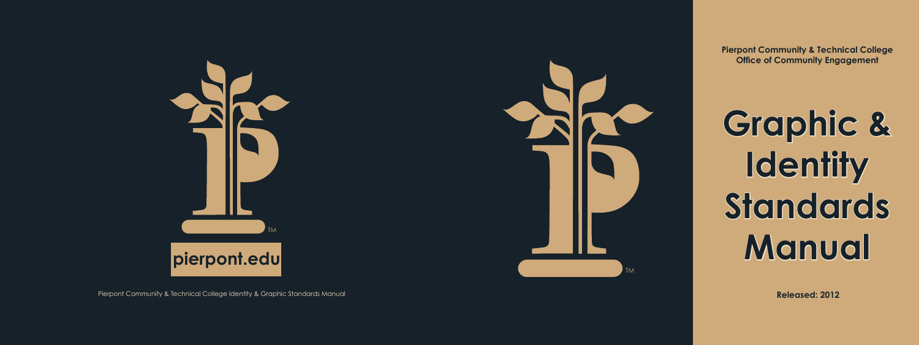**Pierpont Community & Technical College Office of Community Engagement**

# **Graphic & Identity Standards Manual**

Pierpont Community & Technical College Identity & Graphic Standards Manual



**Released: 2012**

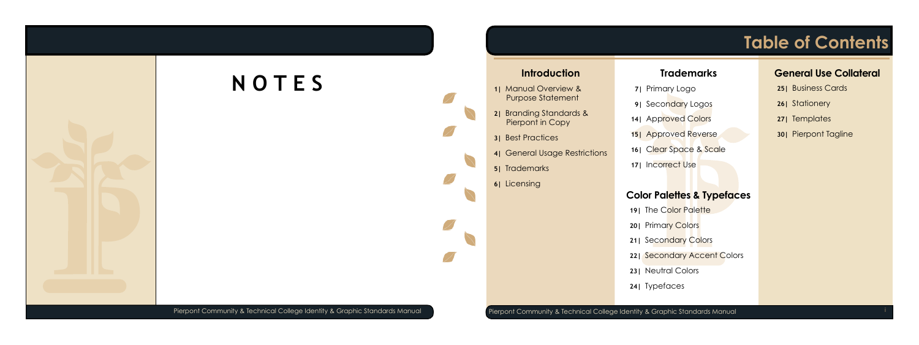## **Table of Contents**

### **Color Palettes & Typefaces**

### **General Use Collateral**

<span id="page-1-0"></span>

- **25|** [Business Cards](#page-14-0)
- **26|** [Stationery](#page-14-0)
- **27|** [Templates](#page-15-0)
- **30|** [Pierpont Tagline](#page-16-0)

- **19| [The Color Palette](#page-11-0)**
- **20|** [Primary Colors](#page-11-0)
- **21|** [Secondary Colors](#page-12-0)
- **22|** [Secondary Accent](#page-12-0) Colors
- **23|** [Neutral Colors](#page-13-0)
- **24|** [Typefaces](#page-13-0)

- **7|** [Primary Logo](#page-5-0)
- **9| [Secondary Logos](#page-6-0)**
- **14|** [Approved Colors](#page-8-0)
- **15|** [Approved Reverse](#page-9-0)
- **16|** [Clear Space & Scale](#page-9-0)
- **17|** [Incorrect Use](#page-10-0)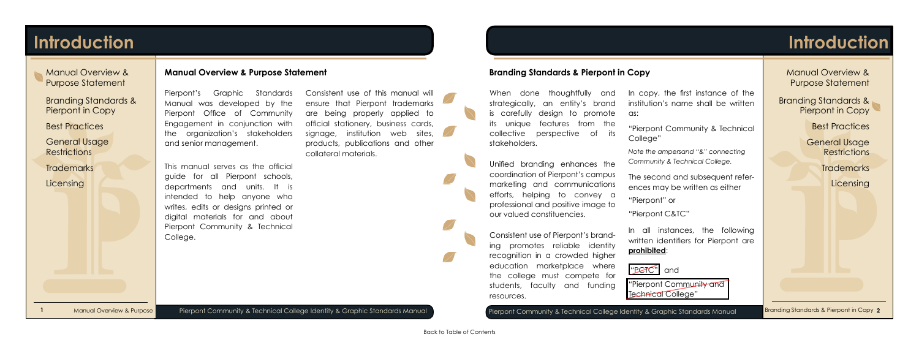[General Usage](#page-3-0)  **Restrictions** 

**[Trademarks](#page-4-0)** 

**[Licensing](#page-4-0)** 

## **Introduction**

[General Usage](#page-3-0)  **Restrictions** 

**[Trademarks](#page-4-0) [Licensing](#page-4-0)** 

Manual Overview & Purpose Statement

Branding Standards & Pierpont in Copy

[Best Practices](#page-3-0)

- Manual Overview & Purpose Statement
- Branding Standards & Pierpont in Copy

[Best Practices](#page-3-0)

## <span id="page-2-0"></span>**Introduction**

Manual Overview & Purpose

Pierpont Community & Technical College Identity & Graphic Standards Manual Pierpont Community & Technical College Identity & Graphic Standards Manual Branding Standards & Pierpont in Copy 2

### **Manual Overview & Purpose Statement**

Pierpont's Graphic Standards Manual was developed by the Pierpont Office of Community Engagement in conjunction with the organization's stakeholders and senior management.

When done thoughtfully and strategically, an entity's brand is carefully design to promote its unique features from the collective perspective of its stakeholders.

This manual serves as the official guide for all Pierpont schools, departments and units. It is intended to help anyone who writes, edits or designs printed or digital materials for and about Pierpont Community & Technical College.

Consistent use of this manual will ensure that Pierpont trademarks are being properly applied to official stationery, business cards, signage, institution web sites, products, publications and other collateral materials.

> "Pierpont Community and Technical College"

### **Branding Standards & Pierpont in Copy**

Unified branding enhances the coordination of Pierpont's campus marketing and communications efforts, helping to convey a professional and positive image to our valued constituencies.

Consistent use of Pierpont's branding promotes reliable identity recognition in a crowded higher education marketplace where the college must compete for students, faculty and funding resources.

In copy, the first instance of the institution's name shall be written

as:

"Pierpont Community & Technical College"

*Note the ampersand "&" connecting Community & Technical College.*

The second and subsequent references may be written as either

"Pierpont" or

"Pierpont C&TC"

In all instances, the following written identifiers for Pierpont are **prohibited**:

"PCTC" and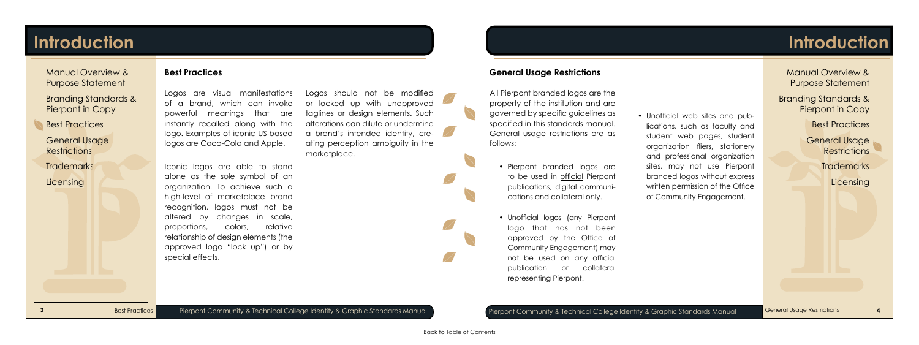General Usage **Restrictions** 

**[Trademarks](#page-4-0)** 

**[Licensing](#page-4-0)** 

[Manual Overview &](#page-2-0) Purpose Statement

[Branding Standards &](#page-2-0)  Pierpont in Copy

Best Practices

## <span id="page-3-0"></span>**Introduction**

Best Practices

**3** Pierpont Community & Technical College Identity & Graphic Standards Manual Pierpont Community & Technical College Identity & Graphic Standards Manual **6** General Usage Restrictions **4** 

### **Best Practices**

Logos are visual manifestations of a brand, which can invoke powerful meanings that are instantly recalled along with the logo. Examples of iconic US-based logos are Coca-Cola and Apple.

General Usage **Restrictions** 

**[Trademarks](#page-4-0)** 

**[Licensing](#page-4-0)** 

Iconic logos are able to stand alone as the sole symbol of an organization. To achieve such a high-level of marketplace brand recognition, logos must not be altered by changes in scale, proportions, colors, relative relationship of design elements (the approved logo "lock up") or by special effects.

Logos should not be modified or locked up with unapproved taglines or design elements. Such alterations can dilute or undermine a brand's intended identity, creating perception ambiguity in the marketplace.



## **Introduction**

[Manual Overview &](#page-2-0) Purpose Statement

[Branding Standards &](#page-2-0) Pierpont in Copy

**Best Practices** 

### **General Usage Restrictions**

All Pierpont branded logos are the property of the institution and are governed by specific guidelines as specified in this standards manual. General usage restrictions are as follows:

- Pierpont branded logos are to be used in official Pierpont publications, digital communications and collateral only.
- Unofficial logos (any Pierpont logo that has not been approved by the Office of Community Engagement) may not be used on any official publication or collateral representing Pierpont.

• Unofficial web sites and publications, such as faculty and student web pages, student organization fliers, stationery and professional organization sites, may not use Pierpont branded logos without express written permission of the Office of Community Engagement.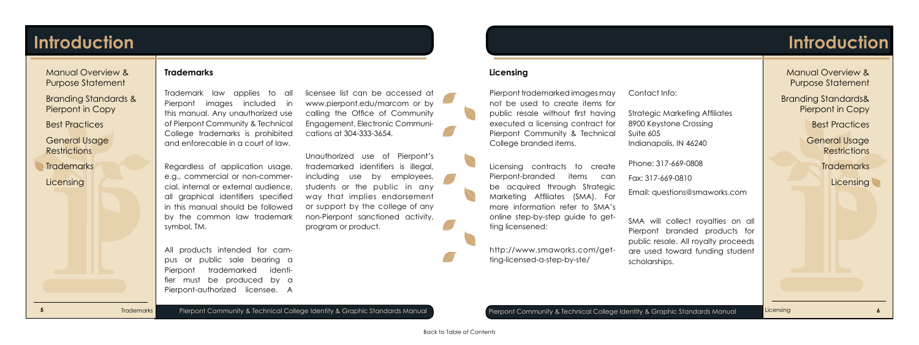**5** Pierpont Community & Technical College Identity & Graphic Standards Manual Pierpont Community & Technical College Identity & Graphic Standards Manual **6**

[General Usage](#page-3-0)  **Restrictions** 

**Trademarks** 

**Licensing** 

[Manual Overview &](#page-2-0) Purpose Statement

[Branding Standards &](#page-2-0) Pierpont in Copy

[Best Practices](#page-3-0)

## <span id="page-4-0"></span>**Introduction**

### **Trademarks**

Trademark law applies to all Pierpont images included in this manual. Any unauthorized use of Pierpont Community & Technical College trademarks is prohibited and enforecable in a court of law.

Regardless of application usage, e.g., commercial or non-commercial, internal or external audience, all graphical identifiers specified in this manual should be followed by the common law trademark symbol, TM.

[General Usage](#page-3-0)  **Restrictions** 

**Trademarks** 

**Licensing** 

All products intended for campus or public sale bearing a Pierpont trademarked identifier must be produced by a Pierpont-authorized licensee. A licensee list can be accessed at www.pierpont.edu/marcom or by calling the Office of Community Engagement, Electronic Communications at 304-333-3654.

Unauthorized use of Pierpont's trademarked identifiers is illegal, including use by employees, students or the public in any way that implies endorsement or support by the college of any non-Pierpont sanctioned activity, program or product.

Licensing

## **Introduction**

[Manual Overview &](#page-2-0) Purpose Statement

[Branding Standards&](#page-2-0)  Pierpont in Copy

[Best Practices](#page-3-0)

**Licensing**

Pierpont trademarked images may not be used to create items for public resale without first having executed a licensing contract for Pierpont Community & Technical College branded items.

Licensing contracts to create Pierpont-branded items can be acquired through Strategic Marketing Affiliates (SMA). For more information refer to SMA's online step-by-step guide to getting licensened:

[http://www.smaworks.com/get](http://www.smaworks.com/getting-licensed-a-step-by-ste/)[ting-licensed-a-step-by-ste/](http://www.smaworks.com/getting-licensed-a-step-by-ste/) 

Contact Info:

Strategic Marketing Affiliates 8900 Keystone Crossing Indianapolis, IN 46240

Suite 605

Phone: 317-669-0808

Fax: 317-669-0810

Email: questions@smaworks.com

SMA will collect royalties on all Pierpont branded products for public resale. All royalty proceeds are used toward funding student scholarships.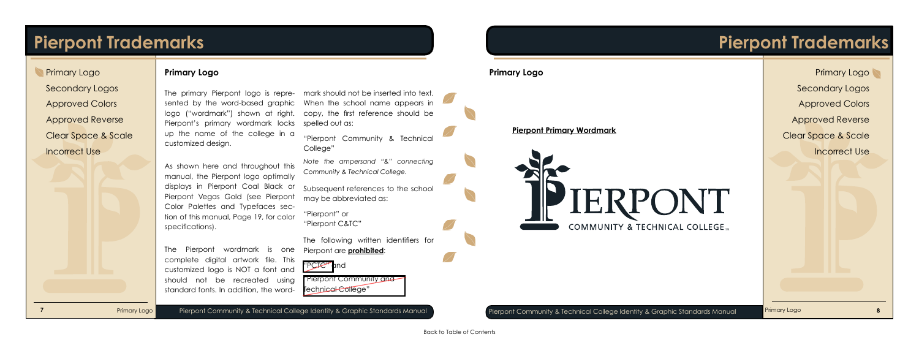## <span id="page-5-0"></span>**Pierpont Trademarks**

Primary Logo

Pierpont Community & Technical College Identity & Graphic Standards Manual **Pierpont Community & Technical College Identity & Graphic Standards Manual Primary Logo Base of the Standards Manual Base of the Standards Manual** 

### **Primary Logo**

The primary Pierpont logo is represented by the word-based graphic logo ("wordmark") shown at right. copy, the first reference should be Pierpont's primary wordmark locks up the name of the college in a customized design.

As shown here and throughout this manual, the Pierpont logo optimally displays in Pierpont Coal Black or Pierpont Vegas Gold (see Pierpont Color Palettes and Typefaces section of this manual, Page 19, for color specifications).

> "Pierpont Community and Technical College"

**Primary Logo** [Secondary Logos](#page-6-0) [Approved Colors](#page-6-0) [Approved Reverse](#page-9-0) [Clear Space & Scale](#page-9-0) [Incorrect Use](#page-10-0)

The Pierpont wordmark is one complete digital artwork file. This customized logo is NOT a font and should not be recreated using standard fonts. In addition, the word-

mark should not be inserted into text. When the school name appears in spelled out as:

"Pierpont Community & Technical College"

*Note the ampersand "&" connecting Community & Technical College.*

Subsequent references to the school may be abbreviated as:

"Pierpont" or "Pierpont C&TC"

The following written identifiers for Pierpont are **prohibited**:

"PCTC" and

## **Pierpont Trademarks**

COMMUNITY & TECHNICAL COLLEGE.

### **Primary Logo**

**Pierpont Primary Wordmark**

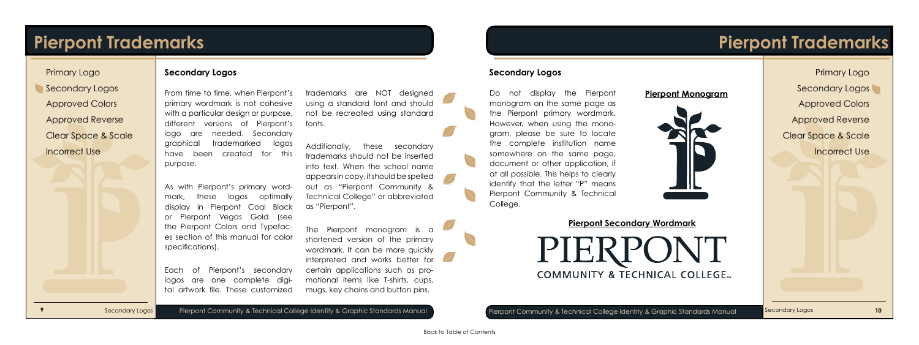## <span id="page-6-0"></span>**Pierpont Trademarks**

Secondary Logos

Pierpont Community & Technical College Identity & Graphic Standards Manual **Pierpont Community & Technical College Identity & Graphic Standards Manual Secondary Logos 10** 

### **Secondary Logos**

From time to time, when Pierpont's primary wordmark is not cohesive with a particular design or purpose, different versions of Pierpont's logo are needed. Secondary graphical trademarked logos have been created for this purpose.

As with Pierpont's primary wordmark, these logos optimally display in Pierpont Coal Black or Pierpont Vegas Gold (see the Pierpont Colors and Typefaces section of this manual for color specifications).

Each of Pierpont's secondary logos are one complete digital artwork file. These customized

trademarks are NOT designed using a standard font and should not be recreated using standard fonts.

Additionally, these secondary trademarks should not be inserted into text. When the school name appears in copy, it should be spelled out as "Pierpont Community & Technical College" or abbreviated as "Pierpont".

The Pierpont monogram is a shortened version of the primary wordmark. It can be more quickly interpreted and works better for certain applications such as promotional items like T-shirts, cups, mugs, key chains and button pins.

Secondary Logos

## **Pierpont Trademarks**

[Primary Logo](#page-5-0) Secondary Logos Approved Colors [Approved Reverse](#page-9-0) [Clear Space & Scale](#page-9-0) [Incorrect Use](#page-10-0)

### **Secondary Logos**

Do not display the Pierpont monogram on the same page as the Pierpont primary wordmark. However, when using the monogram, please be sure to locate the complete institution name somewhere on the same page, document or other application, if at all possible. This helps to clearly identify that the letter "P" means Pierpont Community & Technical College.

### **Pierpont Monogram**





**Pierpont Secondary Wordmark**

IFKP **COMMUNITY & TECHNICAL COLLEGE...**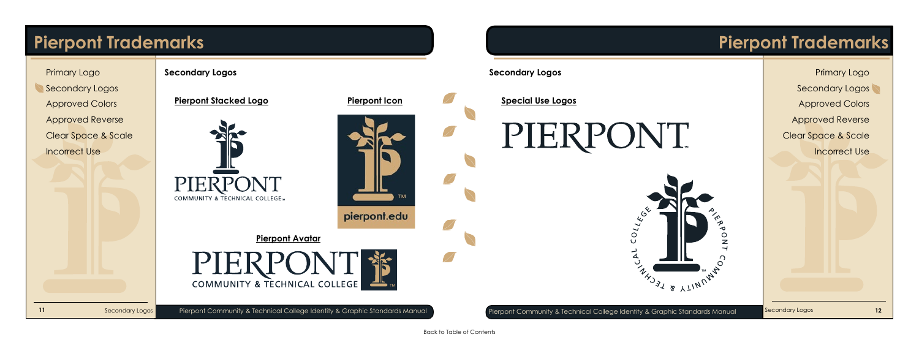## **Pierpont Trademarks**

Secondary Logos

**11** Pierpondary Logos Pierpont Community & Technical College Identity & Graphic Standards Manual Pierpont Community & Technical College Identity & Graphic Standards Manual Secondary Logos 12



**Secondary Logos**

**Pierpont Stacked Logo**





## **Pierpont Trademarks**



[Primary Logo](#page-5-0)

**Secondary Logos**

**Pierpont Icon Special Use Logos**

**Pierpont Avatar**

**COMMUNITY & TECHNICAL COLLEGE**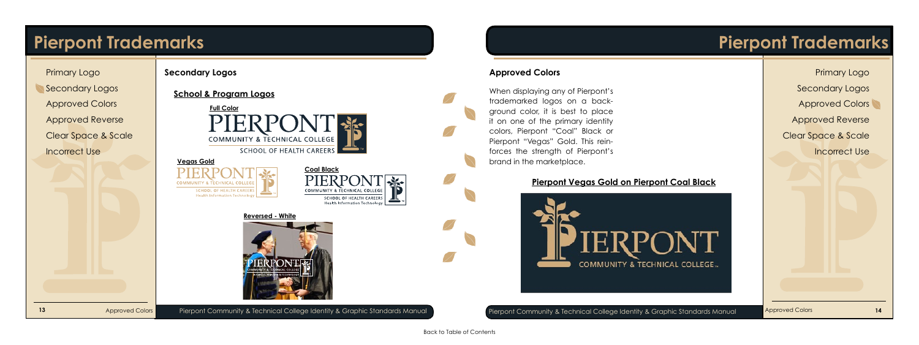## <span id="page-8-0"></span>**Pierpont Trademarks**

Approved Colors

**Secondary Logos**

Approved Colors

## **Pierpont Trademarks**

[Primary Logo](#page-5-0)

[Secondary Logos](#page-6-0)

Approved Colors

[Approved Reverse](#page-9-0)

[Clear Space & Scale](#page-9-0)

[Incorrect Use](#page-10-0)

### **Approved Colors**

### **Pierpont Vegas Gold on Pierpont Coal Black**



**13** Pierpoved Colors Pierpont Community & Technical College Identity & Graphic Standards Manual Pierpont Community & Technical College Identity & Graphic Standards Manual Pierpont Community & Technical College Identity &

When displaying any of Pierpont's trademarked logos on a background color, it is best to place it on one of the primary identity colors, Pierpont "Coal" Black or Pierpont "Vegas" Gold. This reinforces the strength of Pierpont's brand in the marketplace.

**School & Program Logos**



### **Vegas Gold**





### **Reversed - White**

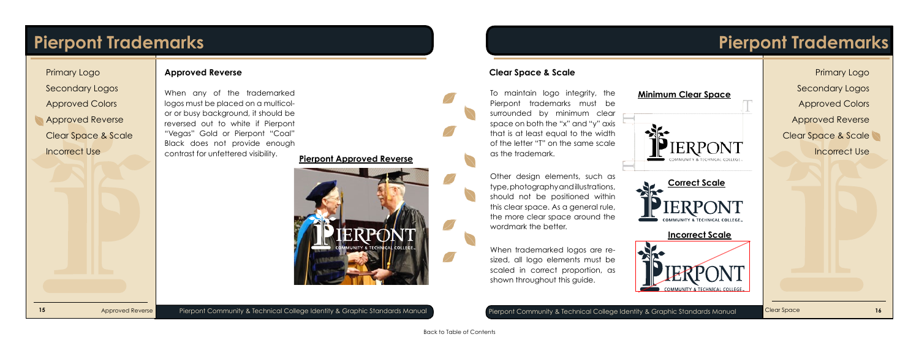## <span id="page-9-0"></span>**Pierpont Trademarks**

Approved Reverse

**15** Pierpoved Reverse Pierpont Community & Technical College Identity & Graphic Standards Manual Pierpont Community & Technical College Identity & Graphic Standards Manual Clear Space 16

### **Approved Reverse**

When any of the trademarked logos must be placed on a multicolor or busy background, it should be reversed out to white if Pierpont "Vegas" Gold or Pierpont "Coal" Black does not provide enough contrast for unfettered visibility. **Pierpont Approved Reverse**



Clear Space

## **Pierpont Trademarks**

[Primary Logo](#page-5-0) [Secondary Logos](#page-6-0) [Approved Colors](#page-8-0) Approved Reverse Clear Space & Scale

[Incorrect Use](#page-10-0)

### **Clear Space & Scale**

To maintain logo integrity, the Pierpont trademarks must be surrounded by minimum clear space on both the "x" and "y" axis that is at least equal to the width of the letter "T" on the same scale as the trademark.

Other design elements, such as type, photography and illustrations, should not be positioned within this clear space. As a general rule, the more clear space around the wordmark the better.

When trademarked logos are resized, all logo elements must be scaled in correct proportion, as shown throughout this guide.



### **Minimum Clear Space**





### **Incorrect Scale**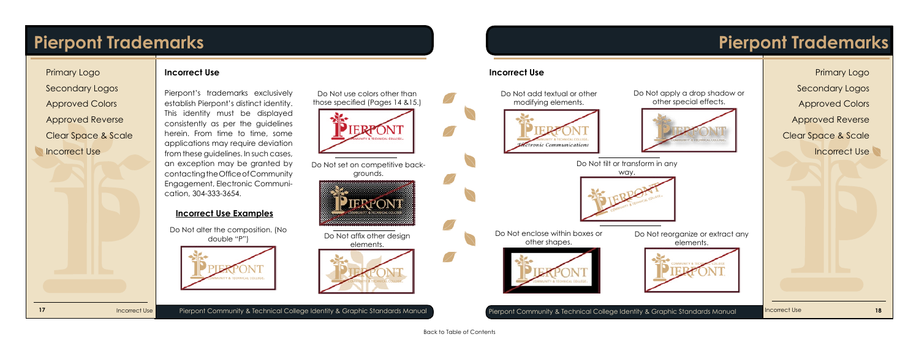## <span id="page-10-0"></span>**Pierpont Trademarks**

Incorrect Use

**17 Pierpont Community & Technical College Identity & Graphic Standards Manual <b>Pierpont Community & Technical College Identity & Graphic Standards Manual 18 Pierpont Community & Technical College Identity & Graphic St** 

### **Incorrect Use**

Pierpont's trademarks exclusively establish Pierpont's distinct identity. This identity must be displayed consistently as per the guidelines herein. From time to time, some applications may require deviation from these guidelines. In such cases, an exception may be granted by contacting the Office of Community Engagement, Electronic Communication, 304-333-3654.

### **Incorrect Use Examples**

Incorrect Use

## **Pierpont Trademarks**

[Primary Logo](#page-5-0)

[Secondary Logos](#page-6-0)

[Approved Colors](#page-8-0)

[Approved Reverse](#page-9-0)

[Clear Space & Scale](#page-9-0)

Incorrect Use

### **Incorrect Use**

Do Not use colors other than those specified (Pages 14 &15.)



Do Not alter the composition. (No double "P")



Do Not set on competitive backgrounds.



Do Not affix other design elements.



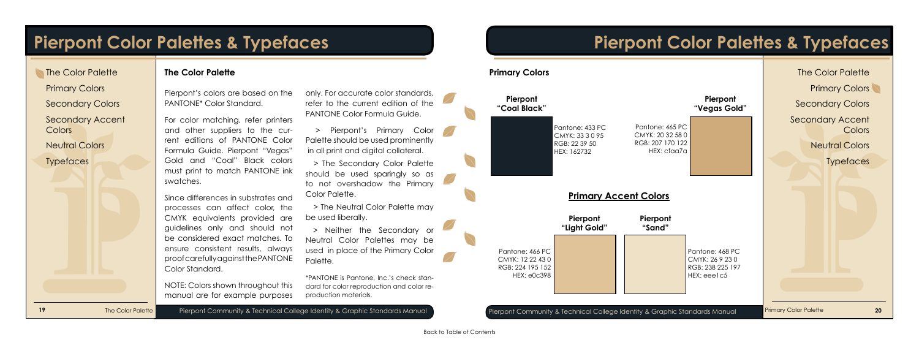### Primary Colors

[Secondary Colors](#page-12-0)

[Secondary Accent](#page-12-0) Colors

[Neutral Colors](#page-13-0)

**[Typefaces](#page-13-0)** 

## <span id="page-11-0"></span>**Pierpont Color Palettes & Typefaces**

### **The Color Palette**

The Color Palette

### **The Color Palette**

Pierpont's colors are based on the PANTONE\* Color Standard.

For color matching, refer printers and other suppliers to the current editions of PANTONE Color Formula Guide. Pierpont "Vegas" Gold and "Coal" Black colors must print to match PANTONE ink swatches.

Since differences in substrates and processes can affect color, the CMYK equivalents provided are guidelines only and should not be considered exact matches. To ensure consistent results, always proof carefully against the PANTONE Color Standard.

NOTE: Colors shown throughout this manual are for example purposes only. For accurate color standards, refer to the current edition of the PANTONE Color Formula Guide.



 > Pierpont's Primary Color Palette should be used prominently in all print and digital collateral.

 > The Secondary Color Palette should be used sparingly so as to not overshadow the Primary Color Palette.

 > The Neutral Color Palette may be used liberally.

 > Neither the Secondary or Neutral Color Palettes may be used in place of the Primary Color Palette.

\*PANTONE is Pantone, Inc.'s check standard for color reproduction and color reproduction materials.

## **Pierpont Color Palettes & Typefaces**

**Pierpont "Light Gold"**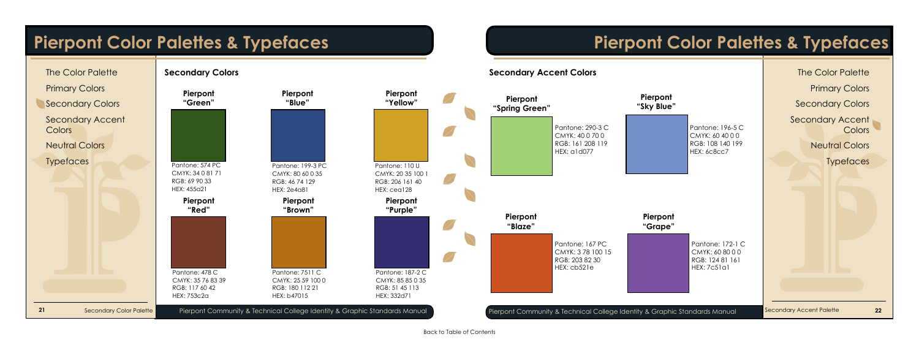<span id="page-12-0"></span>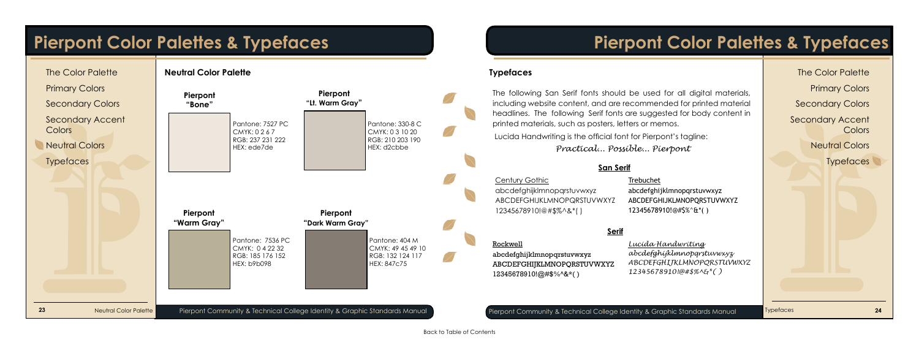[Secondary Accent](#page-12-0) **Colors** 

**Neutral Colors** 

**Typefaces** 

## <span id="page-13-0"></span>**Pierpont Color Palettes & Typefaces**

Typefaces

## **Pierpont Color Palettes & Typefaces**

[The Color Palette](#page-11-0)

[Primary Colors](#page-11-0)

[Secondary Colors](#page-12-0)



abcdefghijklmnopqrstuvwxyz ABCDEFGHIJKLMNOPQRSTUVWXYZ 12345678910!@#\$%^&\*( )

*Lucida Handwriting abcdefghijklmnopqrstuvwxyz ABCDEFGHIJKLMNOPQRSTUVWXYZ 12345678910!@#\$%^&\*( )*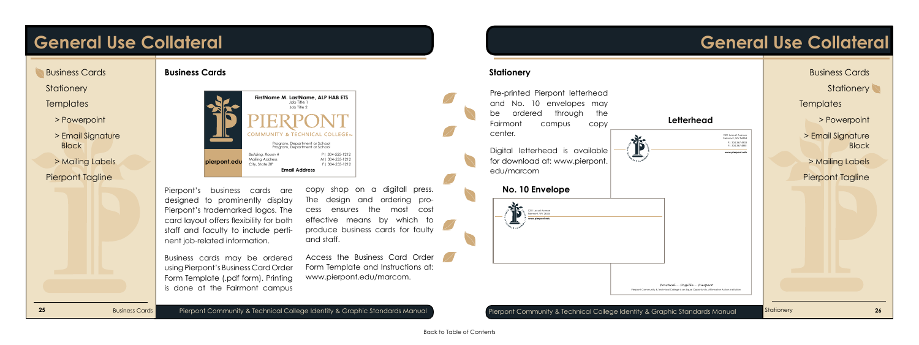- Business Cards
- **Stationery**
- **[Templates](#page-15-0)**
- [> Powerpoint](#page-15-0)
- > [Email Signature](#page-15-0) **Block**
- > [Mailing Labels](#page-16-0) [Pierpont Tagline](#page-16-0)

## <span id="page-14-0"></span>**General Use Collateral**

Business Cards

**Business Cards**

Pierpont's business cards are designed to prominently display Pierpont's trademarked logos. The card layout offers flexibility for both staff and faculty to include pertinent job-related information.

Business cards may be ordered using Pierpont's Business Card Order Form Template (.pdf form). Printing is done at the Fairmont campus

copy shop on a digitall press. The design and ordering process ensures the most cost effective means by which to produce business cards for faulty and staff.

Access the Business Card Order Form Template and Instructions at: www.pierpont.edu/marcom.



## **General Use Collateral**

**Stationery**

Pre-printed Pierpont letterhead and No. 10 envelopes may be ordered through the Fairmont campus copy center.

Digital letterhead is available for download at: www.pierpont. edu/marcom

道

### **No. 10 Envelope**



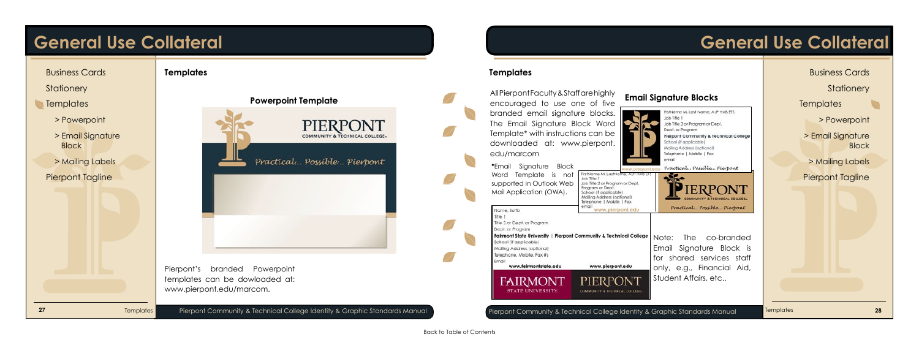

> Email Signature **Block** 

## <span id="page-15-0"></span>**General Use Collateral**

## **General Use Collateral**

[Business Cards](#page-14-0)

**[Stationery](#page-14-0)** 

**Templates** 

> Powerpoint

[> Mailing Labels](#page-16-0)

[Pierpont Tagline](#page-16-0)

**Templates** 

### **Templates**

All Pierpont Faculty & Staff are highly branded email signature blocks. The Email Signature Block Word Template\* with instructions can be downloaded at: www.pierpont. edu/marcom

**\***Email Signature Block Word Template is not supported in Outlook Web Mail Application (OWA).



FrstName M. Last Name, ALP HAB FTS Job Title 1 Job Title 2 or Program or Dept. Dept. or Program Pierpont Community & Technical College School (if applicable) Mailing Address (optional) Telephone | Mobile | Fax email Practical... Possible... Pierpont ww.plerpont.ed FirstName M. LastName, AU' HAB ETS<br>Job Title 1 ると Job Title 2 or Program or Dept.<br>Program or Dept. **IERPONT** (school (if applicable) Mailing Address (optional) OMMUNITY & TECHNICAL COLLEGE Telephone | Mobile | Fax liome Practical... Possible... Pierpont Name, Suffix www.pierpont.edu litle 1 Title 2 or Dept. or Program Dept. or Program Fairmont State University | Pierpont Community & Technical College Note: The co-branded chool (if applicable) Email Signature Block is Mailing Address (optional) lelephone, Mobile, Fax #s for shared services staff www.fairmontstate.edu www.pierpont.edu only, e.g., Financial Aid, Student Affairs, etc.. **FAIRMONT** PIERPONT **STATE UNIVERSITY.** COMMUNITY & TECHNICAL COLLEGE